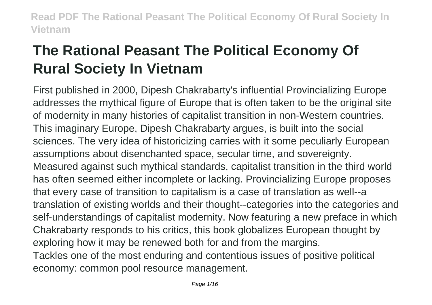# **The Rational Peasant The Political Economy Of Rural Society In Vietnam**

First published in 2000, Dipesh Chakrabarty's influential Provincializing Europe addresses the mythical figure of Europe that is often taken to be the original site of modernity in many histories of capitalist transition in non-Western countries. This imaginary Europe, Dipesh Chakrabarty argues, is built into the social sciences. The very idea of historicizing carries with it some peculiarly European assumptions about disenchanted space, secular time, and sovereignty. Measured against such mythical standards, capitalist transition in the third world has often seemed either incomplete or lacking. Provincializing Europe proposes that every case of transition to capitalism is a case of translation as well--a translation of existing worlds and their thought--categories into the categories and self-understandings of capitalist modernity. Now featuring a new preface in which Chakrabarty responds to his critics, this book globalizes European thought by exploring how it may be renewed both for and from the margins. Tackles one of the most enduring and contentious issues of positive political economy: common pool resource management.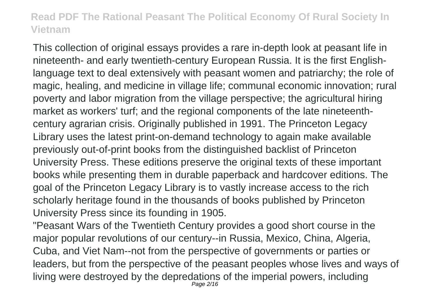This collection of original essays provides a rare in-depth look at peasant life in nineteenth- and early twentieth-century European Russia. It is the first Englishlanguage text to deal extensively with peasant women and patriarchy; the role of magic, healing, and medicine in village life; communal economic innovation; rural poverty and labor migration from the village perspective; the agricultural hiring market as workers' turf; and the regional components of the late nineteenthcentury agrarian crisis. Originally published in 1991. The Princeton Legacy Library uses the latest print-on-demand technology to again make available previously out-of-print books from the distinguished backlist of Princeton University Press. These editions preserve the original texts of these important books while presenting them in durable paperback and hardcover editions. The goal of the Princeton Legacy Library is to vastly increase access to the rich scholarly heritage found in the thousands of books published by Princeton University Press since its founding in 1905.

"Peasant Wars of the Twentieth Century provides a good short course in the major popular revolutions of our century--in Russia, Mexico, China, Algeria, Cuba, and Viet Nam--not from the perspective of governments or parties or leaders, but from the perspective of the peasant peoples whose lives and ways of living were destroyed by the depredations of the imperial powers, including Page 2/16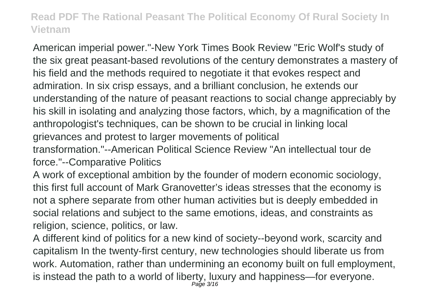American imperial power."-New York Times Book Review "Eric Wolf's study of the six great peasant-based revolutions of the century demonstrates a mastery of his field and the methods required to negotiate it that evokes respect and admiration. In six crisp essays, and a brilliant conclusion, he extends our understanding of the nature of peasant reactions to social change appreciably by his skill in isolating and analyzing those factors, which, by a magnification of the anthropologist's techniques, can be shown to be crucial in linking local grievances and protest to larger movements of political

transformation."--American Political Science Review "An intellectual tour de force."--Comparative Politics

A work of exceptional ambition by the founder of modern economic sociology, this first full account of Mark Granovetter's ideas stresses that the economy is not a sphere separate from other human activities but is deeply embedded in social relations and subject to the same emotions, ideas, and constraints as religion, science, politics, or law.

A different kind of politics for a new kind of society--beyond work, scarcity and capitalism In the twenty-first century, new technologies should liberate us from work. Automation, rather than undermining an economy built on full employment, is instead the path to a world of liberty, luxury and happiness—for everyone. Page 3/16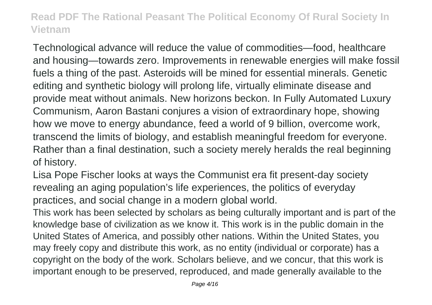Technological advance will reduce the value of commodities—food, healthcare and housing—towards zero. Improvements in renewable energies will make fossil fuels a thing of the past. Asteroids will be mined for essential minerals. Genetic editing and synthetic biology will prolong life, virtually eliminate disease and provide meat without animals. New horizons beckon. In Fully Automated Luxury Communism, Aaron Bastani conjures a vision of extraordinary hope, showing how we move to energy abundance, feed a world of 9 billion, overcome work, transcend the limits of biology, and establish meaningful freedom for everyone. Rather than a final destination, such a society merely heralds the real beginning of history.

Lisa Pope Fischer looks at ways the Communist era fit present-day society revealing an aging population's life experiences, the politics of everyday practices, and social change in a modern global world.

This work has been selected by scholars as being culturally important and is part of the knowledge base of civilization as we know it. This work is in the public domain in the United States of America, and possibly other nations. Within the United States, you may freely copy and distribute this work, as no entity (individual or corporate) has a copyright on the body of the work. Scholars believe, and we concur, that this work is important enough to be preserved, reproduced, and made generally available to the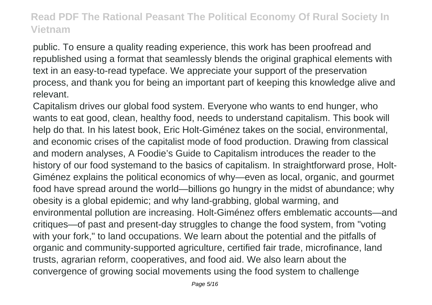public. To ensure a quality reading experience, this work has been proofread and republished using a format that seamlessly blends the original graphical elements with text in an easy-to-read typeface. We appreciate your support of the preservation process, and thank you for being an important part of keeping this knowledge alive and relevant.

Capitalism drives our global food system. Everyone who wants to end hunger, who wants to eat good, clean, healthy food, needs to understand capitalism. This book will help do that. In his latest book, Eric Holt-Giménez takes on the social, environmental, and economic crises of the capitalist mode of food production. Drawing from classical and modern analyses, A Foodie's Guide to Capitalism introduces the reader to the history of our food systemand to the basics of capitalism. In straightforward prose, Holt-Giménez explains the political economics of why—even as local, organic, and gourmet food have spread around the world—billions go hungry in the midst of abundance; why obesity is a global epidemic; and why land-grabbing, global warming, and environmental pollution are increasing. Holt-Giménez offers emblematic accounts—and critiques—of past and present-day struggles to change the food system, from "voting with your fork," to land occupations. We learn about the potential and the pitfalls of organic and community-supported agriculture, certified fair trade, microfinance, land trusts, agrarian reform, cooperatives, and food aid. We also learn about the convergence of growing social movements using the food system to challenge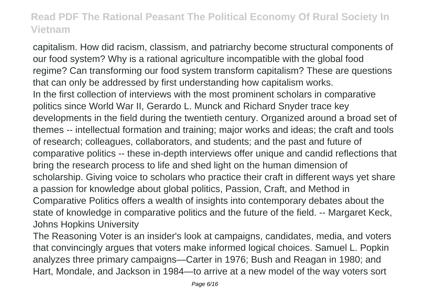capitalism. How did racism, classism, and patriarchy become structural components of our food system? Why is a rational agriculture incompatible with the global food regime? Can transforming our food system transform capitalism? These are questions that can only be addressed by first understanding how capitalism works. In the first collection of interviews with the most prominent scholars in comparative politics since World War II, Gerardo L. Munck and Richard Snyder trace key developments in the field during the twentieth century. Organized around a broad set of themes -- intellectual formation and training; major works and ideas; the craft and tools of research; colleagues, collaborators, and students; and the past and future of comparative politics -- these in-depth interviews offer unique and candid reflections that bring the research process to life and shed light on the human dimension of scholarship. Giving voice to scholars who practice their craft in different ways yet share a passion for knowledge about global politics, Passion, Craft, and Method in Comparative Politics offers a wealth of insights into contemporary debates about the state of knowledge in comparative politics and the future of the field. -- Margaret Keck, Johns Hopkins University

The Reasoning Voter is an insider's look at campaigns, candidates, media, and voters that convincingly argues that voters make informed logical choices. Samuel L. Popkin analyzes three primary campaigns—Carter in 1976; Bush and Reagan in 1980; and Hart, Mondale, and Jackson in 1984—to arrive at a new model of the way voters sort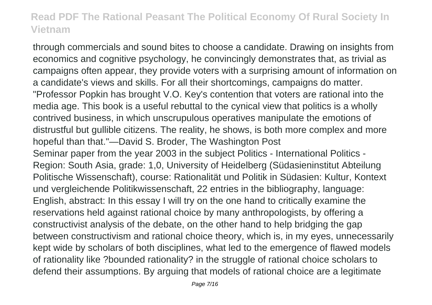through commercials and sound bites to choose a candidate. Drawing on insights from economics and cognitive psychology, he convincingly demonstrates that, as trivial as campaigns often appear, they provide voters with a surprising amount of information on a candidate's views and skills. For all their shortcomings, campaigns do matter. "Professor Popkin has brought V.O. Key's contention that voters are rational into the media age. This book is a useful rebuttal to the cynical view that politics is a wholly contrived business, in which unscrupulous operatives manipulate the emotions of distrustful but gullible citizens. The reality, he shows, is both more complex and more hopeful than that."—David S. Broder, The Washington Post Seminar paper from the year 2003 in the subject Politics - International Politics - Region: South Asia, grade: 1,0, University of Heidelberg (Südasieninstitut Abteilung Politische Wissenschaft), course: Rationalität und Politik in Südasien: Kultur, Kontext und vergleichende Politikwissenschaft, 22 entries in the bibliography, language: English, abstract: In this essay I will try on the one hand to critically examine the reservations held against rational choice by many anthropologists, by offering a constructivist analysis of the debate, on the other hand to help bridging the gap between constructivism and rational choice theory, which is, in my eyes, unnecessarily kept wide by scholars of both disciplines, what led to the emergence of flawed models of rationality like ?bounded rationality? in the struggle of rational choice scholars to defend their assumptions. By arguing that models of rational choice are a legitimate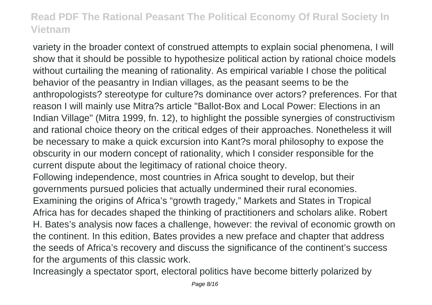variety in the broader context of construed attempts to explain social phenomena, I will show that it should be possible to hypothesize political action by rational choice models without curtailing the meaning of rationality. As empirical variable I chose the political behavior of the peasantry in Indian villages, as the peasant seems to be the anthropologists? stereotype for culture?s dominance over actors? preferences. For that reason I will mainly use Mitra?s article "Ballot-Box and Local Power: Elections in an Indian Village" (Mitra 1999, fn. 12), to highlight the possible synergies of constructivism and rational choice theory on the critical edges of their approaches. Nonetheless it will be necessary to make a quick excursion into Kant?s moral philosophy to expose the obscurity in our modern concept of rationality, which I consider responsible for the current dispute about the legitimacy of rational choice theory.

Following independence, most countries in Africa sought to develop, but their governments pursued policies that actually undermined their rural economies. Examining the origins of Africa's "growth tragedy," Markets and States in Tropical Africa has for decades shaped the thinking of practitioners and scholars alike. Robert H. Bates's analysis now faces a challenge, however: the revival of economic growth on the continent. In this edition, Bates provides a new preface and chapter that address the seeds of Africa's recovery and discuss the significance of the continent's success for the arguments of this classic work.

Increasingly a spectator sport, electoral politics have become bitterly polarized by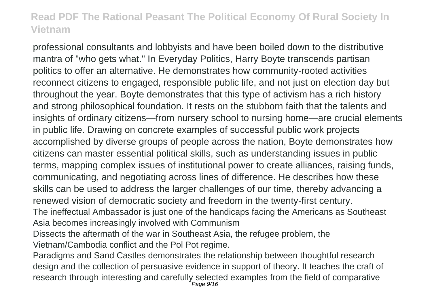professional consultants and lobbyists and have been boiled down to the distributive mantra of "who gets what." In Everyday Politics, Harry Boyte transcends partisan politics to offer an alternative. He demonstrates how community-rooted activities reconnect citizens to engaged, responsible public life, and not just on election day but throughout the year. Boyte demonstrates that this type of activism has a rich history and strong philosophical foundation. It rests on the stubborn faith that the talents and insights of ordinary citizens—from nursery school to nursing home—are crucial elements in public life. Drawing on concrete examples of successful public work projects accomplished by diverse groups of people across the nation, Boyte demonstrates how citizens can master essential political skills, such as understanding issues in public terms, mapping complex issues of institutional power to create alliances, raising funds, communicating, and negotiating across lines of difference. He describes how these skills can be used to address the larger challenges of our time, thereby advancing a renewed vision of democratic society and freedom in the twenty-first century. The ineffectual Ambassador is just one of the handicaps facing the Americans as Southeast Asia becomes increasingly involved with Communism

- Dissects the aftermath of the war in Southeast Asia, the refugee problem, the Vietnam/Cambodia conflict and the Pol Pot regime.
- Paradigms and Sand Castles demonstrates the relationship between thoughtful research design and the collection of persuasive evidence in support of theory. It teaches the craft of research through interesting and carefully selected examples from the field of comparative<br>Page 9/16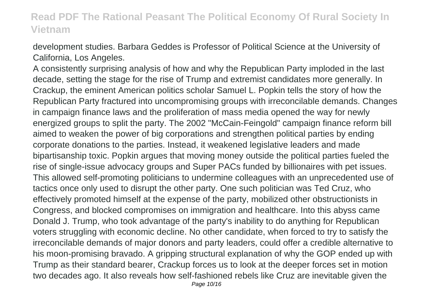development studies. Barbara Geddes is Professor of Political Science at the University of California, Los Angeles.

A consistently surprising analysis of how and why the Republican Party imploded in the last decade, setting the stage for the rise of Trump and extremist candidates more generally. In Crackup, the eminent American politics scholar Samuel L. Popkin tells the story of how the Republican Party fractured into uncompromising groups with irreconcilable demands. Changes in campaign finance laws and the proliferation of mass media opened the way for newly energized groups to split the party. The 2002 "McCain-Feingold" campaign finance reform bill aimed to weaken the power of big corporations and strengthen political parties by ending corporate donations to the parties. Instead, it weakened legislative leaders and made bipartisanship toxic. Popkin argues that moving money outside the political parties fueled the rise of single-issue advocacy groups and Super PACs funded by billionaires with pet issues. This allowed self-promoting politicians to undermine colleagues with an unprecedented use of tactics once only used to disrupt the other party. One such politician was Ted Cruz, who effectively promoted himself at the expense of the party, mobilized other obstructionists in Congress, and blocked compromises on immigration and healthcare. Into this abyss came Donald J. Trump, who took advantage of the party's inability to do anything for Republican voters struggling with economic decline. No other candidate, when forced to try to satisfy the irreconcilable demands of major donors and party leaders, could offer a credible alternative to his moon-promising bravado. A gripping structural explanation of why the GOP ended up with Trump as their standard bearer, Crackup forces us to look at the deeper forces set in motion two decades ago. It also reveals how self-fashioned rebels like Cruz are inevitable given the Page 10/16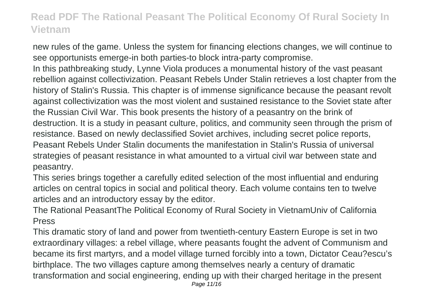new rules of the game. Unless the system for financing elections changes, we will continue to see opportunists emerge-in both parties-to block intra-party compromise.

In this pathbreaking study, Lynne Viola produces a monumental history of the vast peasant rebellion against collectivization. Peasant Rebels Under Stalin retrieves a lost chapter from the history of Stalin's Russia. This chapter is of immense significance because the peasant revolt against collectivization was the most violent and sustained resistance to the Soviet state after the Russian Civil War. This book presents the history of a peasantry on the brink of destruction. It is a study in peasant culture, politics, and community seen through the prism of resistance. Based on newly declassified Soviet archives, including secret police reports, Peasant Rebels Under Stalin documents the manifestation in Stalin's Russia of universal strategies of peasant resistance in what amounted to a virtual civil war between state and peasantry.

This series brings together a carefully edited selection of the most influential and enduring articles on central topics in social and political theory. Each volume contains ten to twelve articles and an introductory essay by the editor.

The Rational PeasantThe Political Economy of Rural Society in VietnamUniv of California Press

This dramatic story of land and power from twentieth-century Eastern Europe is set in two extraordinary villages: a rebel village, where peasants fought the advent of Communism and became its first martyrs, and a model village turned forcibly into a town, Dictator Ceau?escu's birthplace. The two villages capture among themselves nearly a century of dramatic transformation and social engineering, ending up with their charged heritage in the present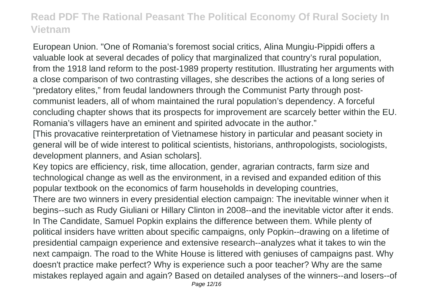European Union. "One of Romania's foremost social critics, Alina Mungiu-Pippidi offers a valuable look at several decades of policy that marginalized that country's rural population, from the 1918 land reform to the post-1989 property restitution. Illustrating her arguments with a close comparison of two contrasting villages, she describes the actions of a long series of "predatory elites," from feudal landowners through the Communist Party through postcommunist leaders, all of whom maintained the rural population's dependency. A forceful concluding chapter shows that its prospects for improvement are scarcely better within the EU. Romania's villagers have an eminent and spirited advocate in the author."

[This provacative reinterpretation of Vietnamese history in particular and peasant society in general will be of wide interest to political scientists, historians, anthropologists, sociologists, development planners, and Asian scholars].

Key topics are efficiency, risk, time allocation, gender, agrarian contracts, farm size and technological change as well as the environment, in a revised and expanded edition of this popular textbook on the economics of farm households in developing countries, There are two winners in every presidential election campaign: The inevitable winner when it begins--such as Rudy Giuliani or Hillary Clinton in 2008--and the inevitable victor after it ends. In The Candidate, Samuel Popkin explains the difference between them. While plenty of political insiders have written about specific campaigns, only Popkin--drawing on a lifetime of presidential campaign experience and extensive research--analyzes what it takes to win the next campaign. The road to the White House is littered with geniuses of campaigns past. Why doesn't practice make perfect? Why is experience such a poor teacher? Why are the same mistakes replayed again and again? Based on detailed analyses of the winners--and losers--of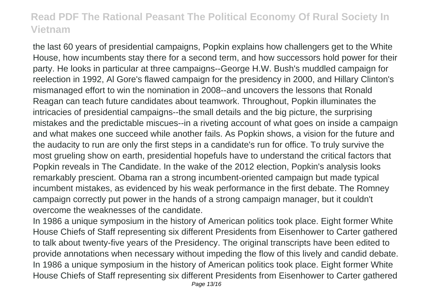the last 60 years of presidential campaigns, Popkin explains how challengers get to the White House, how incumbents stay there for a second term, and how successors hold power for their party. He looks in particular at three campaigns--George H.W. Bush's muddled campaign for reelection in 1992, Al Gore's flawed campaign for the presidency in 2000, and Hillary Clinton's mismanaged effort to win the nomination in 2008--and uncovers the lessons that Ronald Reagan can teach future candidates about teamwork. Throughout, Popkin illuminates the intricacies of presidential campaigns--the small details and the big picture, the surprising mistakes and the predictable miscues--in a riveting account of what goes on inside a campaign and what makes one succeed while another fails. As Popkin shows, a vision for the future and the audacity to run are only the first steps in a candidate's run for office. To truly survive the most grueling show on earth, presidential hopefuls have to understand the critical factors that Popkin reveals in The Candidate. In the wake of the 2012 election, Popkin's analysis looks remarkably prescient. Obama ran a strong incumbent-oriented campaign but made typical incumbent mistakes, as evidenced by his weak performance in the first debate. The Romney campaign correctly put power in the hands of a strong campaign manager, but it couldn't overcome the weaknesses of the candidate.

In 1986 a unique symposium in the history of American politics took place. Eight former White House Chiefs of Staff representing six different Presidents from Eisenhower to Carter gathered to talk about twenty-five years of the Presidency. The original transcripts have been edited to provide annotations when necessary without impeding the flow of this lively and candid debate. In 1986 a unique symposium in the history of American politics took place. Eight former White House Chiefs of Staff representing six different Presidents from Eisenhower to Carter gathered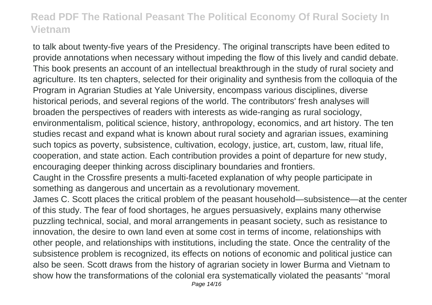to talk about twenty-five years of the Presidency. The original transcripts have been edited to provide annotations when necessary without impeding the flow of this lively and candid debate. This book presents an account of an intellectual breakthrough in the study of rural society and agriculture. Its ten chapters, selected for their originality and synthesis from the colloquia of the Program in Agrarian Studies at Yale University, encompass various disciplines, diverse historical periods, and several regions of the world. The contributors' fresh analyses will broaden the perspectives of readers with interests as wide-ranging as rural sociology, environmentalism, political science, history, anthropology, economics, and art history. The ten studies recast and expand what is known about rural society and agrarian issues, examining such topics as poverty, subsistence, cultivation, ecology, justice, art, custom, law, ritual life, cooperation, and state action. Each contribution provides a point of departure for new study, encouraging deeper thinking across disciplinary boundaries and frontiers.

Caught in the Crossfire presents a multi-faceted explanation of why people participate in something as dangerous and uncertain as a revolutionary movement.

James C. Scott places the critical problem of the peasant household—subsistence—at the center of this study. The fear of food shortages, he argues persuasively, explains many otherwise puzzling technical, social, and moral arrangements in peasant society, such as resistance to innovation, the desire to own land even at some cost in terms of income, relationships with other people, and relationships with institutions, including the state. Once the centrality of the subsistence problem is recognized, its effects on notions of economic and political justice can also be seen. Scott draws from the history of agrarian society in lower Burma and Vietnam to show how the transformations of the colonial era systematically violated the peasants' "moral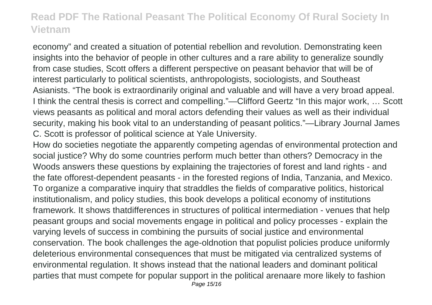economy" and created a situation of potential rebellion and revolution. Demonstrating keen insights into the behavior of people in other cultures and a rare ability to generalize soundly from case studies, Scott offers a different perspective on peasant behavior that will be of interest particularly to political scientists, anthropologists, sociologists, and Southeast Asianists. "The book is extraordinarily original and valuable and will have a very broad appeal. I think the central thesis is correct and compelling."—Clifford Geertz "In this major work, … Scott views peasants as political and moral actors defending their values as well as their individual security, making his book vital to an understanding of peasant politics."—Library Journal James C. Scott is professor of political science at Yale University.

How do societies negotiate the apparently competing agendas of environmental protection and social justice? Why do some countries perform much better than others? Democracy in the Woods answers these questions by explaining the trajectories of forest and land rights - and the fate offorest-dependent peasants - in the forested regions of India, Tanzania, and Mexico. To organize a comparative inquiry that straddles the fields of comparative politics, historical institutionalism, and policy studies, this book develops a political economy of institutions framework. It shows thatdifferences in structures of political intermediation - venues that help peasant groups and social movements engage in political and policy processes - explain the varying levels of success in combining the pursuits of social justice and environmental conservation. The book challenges the age-oldnotion that populist policies produce uniformly deleterious environmental consequences that must be mitigated via centralized systems of environmental regulation. It shows instead that the national leaders and dominant political parties that must compete for popular support in the political arenaare more likely to fashion Page 15/16